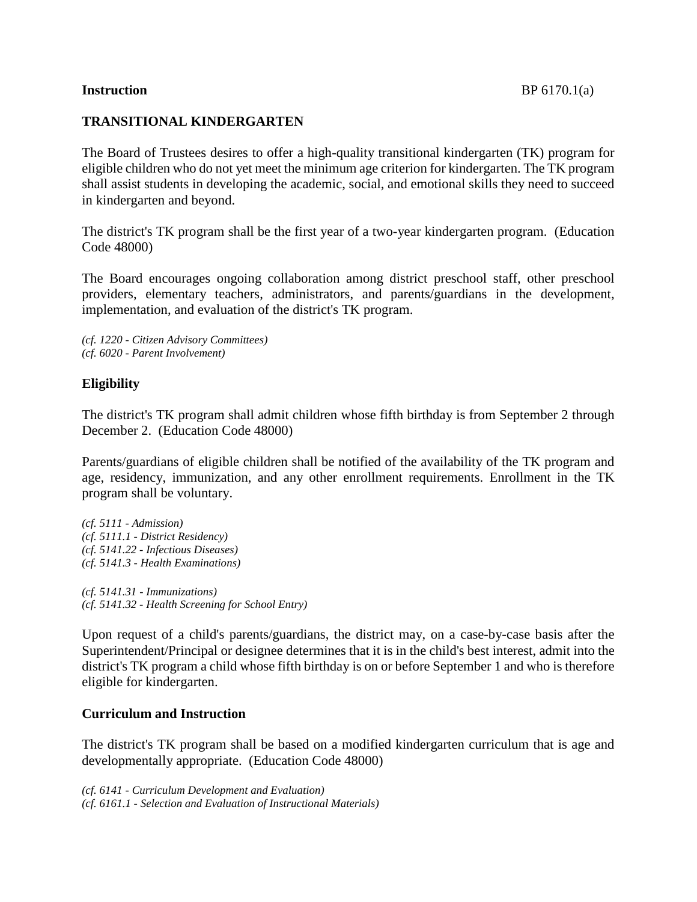# **TRANSITIONAL KINDERGARTEN**

The Board of Trustees desires to offer a high-quality transitional kindergarten (TK) program for eligible children who do not yet meet the minimum age criterion for kindergarten. The TK program shall assist students in developing the academic, social, and emotional skills they need to succeed in kindergarten and beyond.

The district's TK program shall be the first year of a two-year kindergarten program. (Education Code 48000)

The Board encourages ongoing collaboration among district preschool staff, other preschool providers, elementary teachers, administrators, and parents/guardians in the development, implementation, and evaluation of the district's TK program.

*(cf. 1220 - Citizen Advisory Committees) (cf. 6020 - Parent Involvement)*

# **Eligibility**

The district's TK program shall admit children whose fifth birthday is from September 2 through December 2. (Education Code 48000)

Parents/guardians of eligible children shall be notified of the availability of the TK program and age, residency, immunization, and any other enrollment requirements. Enrollment in the TK program shall be voluntary.

*(cf. 5111 - Admission) (cf. 5111.1 - District Residency) (cf. 5141.22 - Infectious Diseases) (cf. 5141.3 - Health Examinations)*

*(cf. 5141.31 - Immunizations) (cf. 5141.32 - Health Screening for School Entry)*

Upon request of a child's parents/guardians, the district may, on a case-by-case basis after the Superintendent/Principal or designee determines that it is in the child's best interest, admit into the district's TK program a child whose fifth birthday is on or before September 1 and who is therefore eligible for kindergarten.

# **Curriculum and Instruction**

The district's TK program shall be based on a modified kindergarten curriculum that is age and developmentally appropriate. (Education Code 48000)

*(cf. 6141 - Curriculum Development and Evaluation) (cf. 6161.1 - Selection and Evaluation of Instructional Materials)*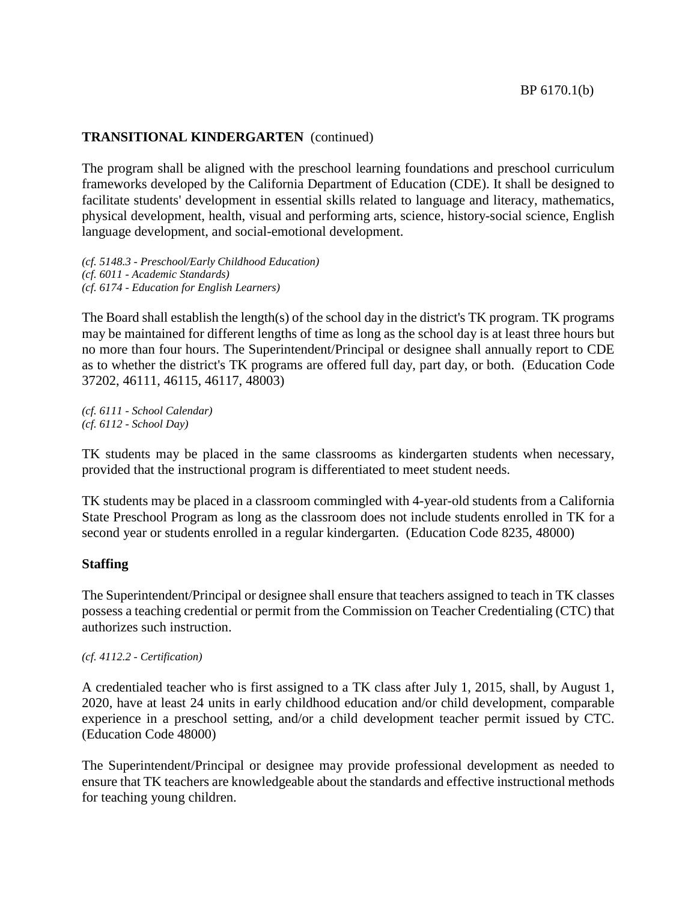# **TRANSITIONAL KINDERGARTEN** (continued)

The program shall be aligned with the preschool learning foundations and preschool curriculum frameworks developed by the California Department of Education (CDE). It shall be designed to facilitate students' development in essential skills related to language and literacy, mathematics, physical development, health, visual and performing arts, science, history-social science, English language development, and social-emotional development.

*(cf. 5148.3 - Preschool/Early Childhood Education) (cf. 6011 - Academic Standards) (cf. 6174 - Education for English Learners)*

The Board shall establish the length(s) of the school day in the district's TK program. TK programs may be maintained for different lengths of time as long as the school day is at least three hours but no more than four hours. The Superintendent/Principal or designee shall annually report to CDE as to whether the district's TK programs are offered full day, part day, or both. (Education Code 37202, 46111, 46115, 46117, 48003)

*(cf. 6111 - School Calendar) (cf. 6112 - School Day)*

TK students may be placed in the same classrooms as kindergarten students when necessary, provided that the instructional program is differentiated to meet student needs.

TK students may be placed in a classroom commingled with 4-year-old students from a California State Preschool Program as long as the classroom does not include students enrolled in TK for a second year or students enrolled in a regular kindergarten. (Education Code 8235, 48000)

### **Staffing**

The Superintendent/Principal or designee shall ensure that teachers assigned to teach in TK classes possess a teaching credential or permit from the Commission on Teacher Credentialing (CTC) that authorizes such instruction.

*(cf. 4112.2 - Certification)*

A credentialed teacher who is first assigned to a TK class after July 1, 2015, shall, by August 1, 2020, have at least 24 units in early childhood education and/or child development, comparable experience in a preschool setting, and/or a child development teacher permit issued by CTC. (Education Code 48000)

The Superintendent/Principal or designee may provide professional development as needed to ensure that TK teachers are knowledgeable about the standards and effective instructional methods for teaching young children.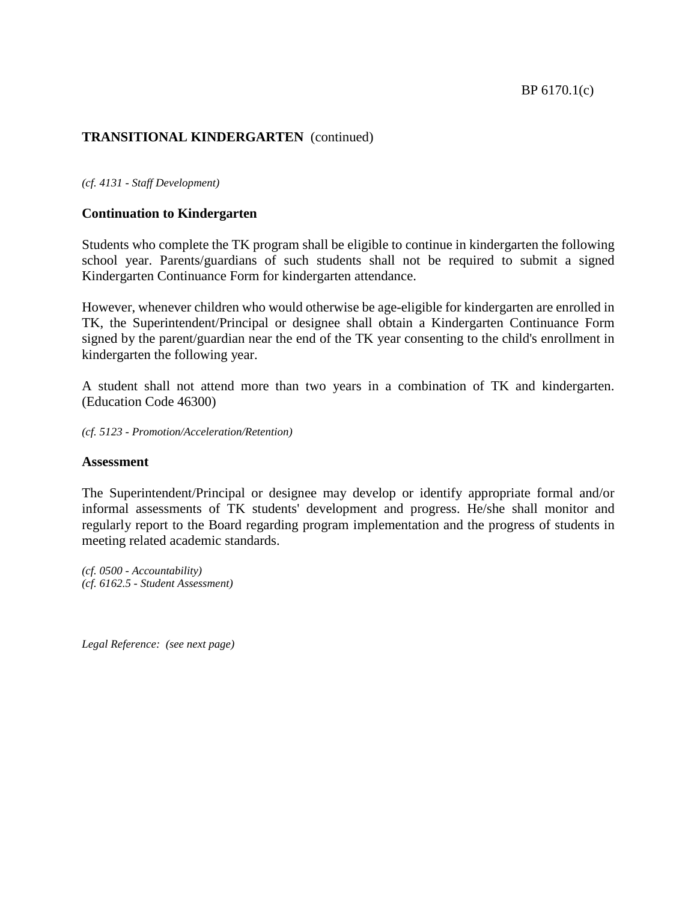#### BP 6170.1(c)

# **TRANSITIONAL KINDERGARTEN** (continued)

#### *(cf. 4131 - Staff Development)*

### **Continuation to Kindergarten**

Students who complete the TK program shall be eligible to continue in kindergarten the following school year. Parents/guardians of such students shall not be required to submit a signed Kindergarten Continuance Form for kindergarten attendance.

However, whenever children who would otherwise be age-eligible for kindergarten are enrolled in TK, the Superintendent/Principal or designee shall obtain a Kindergarten Continuance Form signed by the parent/guardian near the end of the TK year consenting to the child's enrollment in kindergarten the following year.

A student shall not attend more than two years in a combination of TK and kindergarten. (Education Code 46300)

*(cf. 5123 - Promotion/Acceleration/Retention)*

#### **Assessment**

The Superintendent/Principal or designee may develop or identify appropriate formal and/or informal assessments of TK students' development and progress. He/she shall monitor and regularly report to the Board regarding program implementation and the progress of students in meeting related academic standards.

*(cf. 0500 - Accountability) (cf. 6162.5 - Student Assessment)*

*Legal Reference: (see next page)*